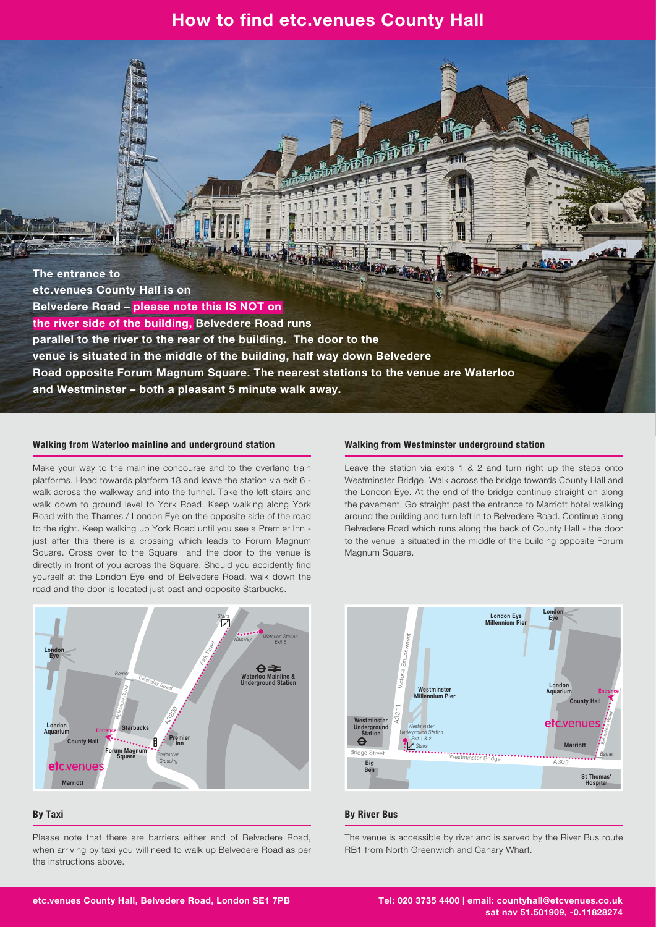### **How to find etc.venues County Hall**

**The entrance to etc.venues County Hall is on Belvedere Road – please note this IS NOT on the river side of the building, Belvedere Road runs parallel to the river to the rear of the building. The door to the venue is situated in the middle of the building, half way down Belvedere Road opposite Forum Magnum Square. The nearest stations to the venue are Waterloo and Westminster – both a pleasant 5 minute walk away.**

#### **Walking from Waterloo mainline and underground station**

Make your way to the mainline concourse and to the overland train platforms. Head towards platform 18 and leave the station via exit 6 walk across the walkway and into the tunnel. Take the left stairs and walk down to ground level to York Road. Keep walking along York Road with the Thames / London Eye on the opposite side of the road to the right. Keep walking up York Road until you see a Premier Inn just after this there is a crossing which leads to Forum Magnum Square. Cross over to the Square and the door to the venue is directly in front of you across the Square. Should you accidently find yourself at the London Eye end of Belvedere Road, walk down the road and the door is located just past and opposite Starbucks.



#### **By Taxi**

Please note that there are barriers either end of Belvedere Road, when arriving by taxi you will need to walk up Belvedere Road as per the instructions above.

#### **Walking from Westminster underground station**

Leave the station via exits 1 & 2 and turn right up the steps onto Westminster Bridge. Walk across the bridge towards County Hall and the London Eye. At the end of the bridge continue straight on along the pavement. Go straight past the entrance to Marriott hotel walking around the building and turn left in to Belvedere Road. Continue along Belvedere Road which runs along the back of County Hall - the door to the venue is situated in the middle of the building opposite Forum Magnum Square.



#### **By River Bus**

The venue is accessible by river and is served by the River Bus route RB1 from North Greenwich and Canary Wharf.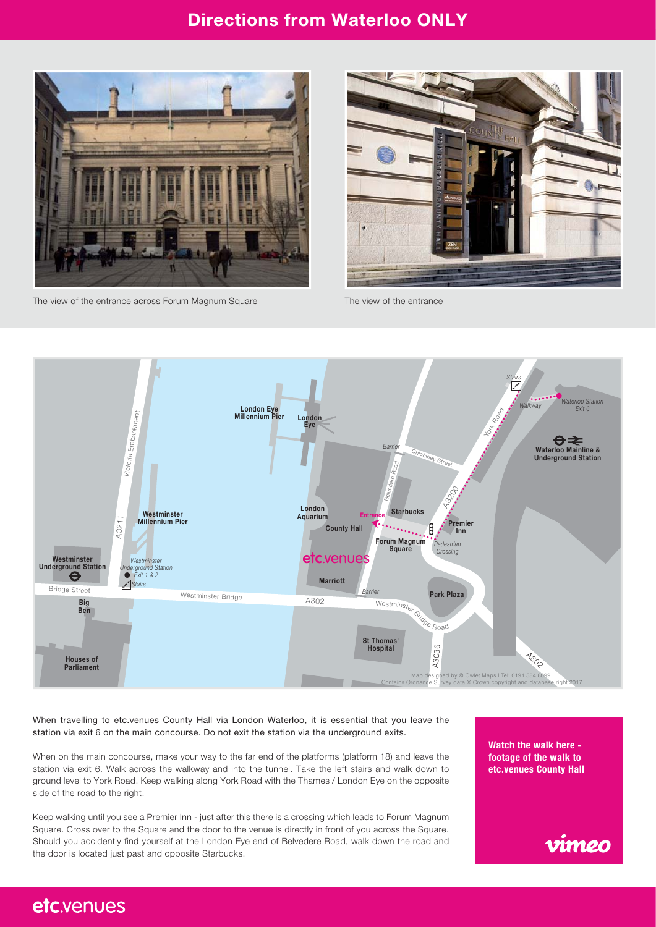## **Directions from Waterloo ONLY**



The view of the entrance across Forum Magnum Square The view of the entrance





When travelling to etc.venues County Hall via London Waterloo, it is essential that you leave the station via exit 6 on the main concourse. Do not exit the station via the underground exits.

When on the main concourse, make your way to the far end of the platforms (platform 18) and leave the station via exit 6. Walk across the walkway and into the tunnel. Take the left stairs and walk down to ground level to York Road. Keep walking along York Road with the Thames / London Eye on the opposite side of the road to the right.

Keep walking until you see a Premier Inn - just after this there is a crossing which leads to Forum Magnum Square. Cross over to the Square and the door to the venue is directly in front of you across the Square. Should you accidently find yourself at the London Eye end of Belvedere Road, walk down the road and the door is located just past and opposite Starbucks.

**Watch the walk here footage of the walk to [etc.venues County Hall](https://vimeo.com/200838592)**



## etc.venues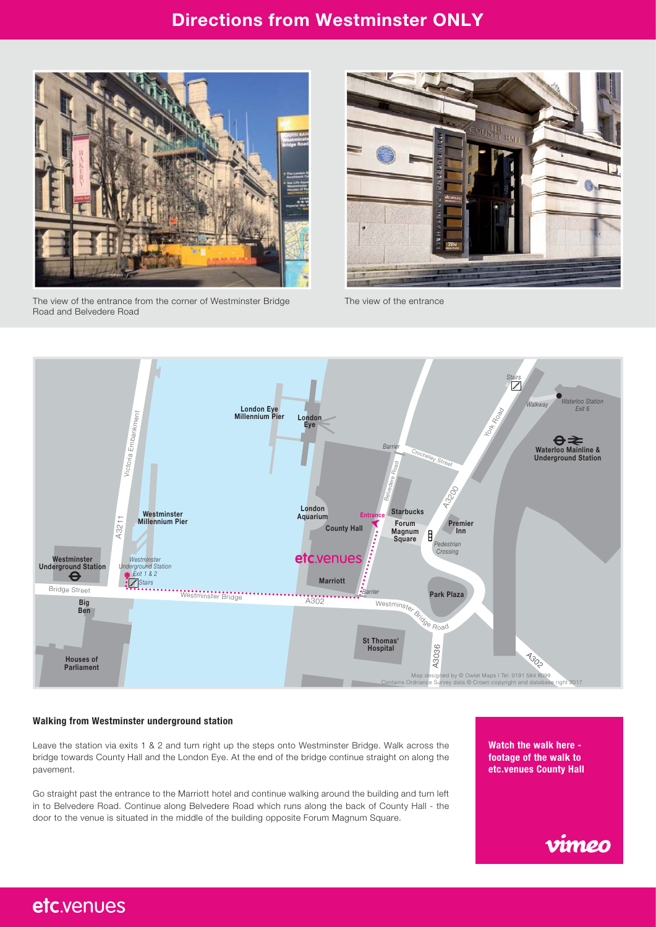## **Directions from Westminster ONLY**



The view of the entrance from the corner of Westminster Bridge Road and Belvedere Road



The view of the entrance



#### **Walking from Westminster underground station**

Leave the station via exits 1 & 2 and turn right up the steps onto Westminster Bridge. Walk across the bridge towards County Hall and the London Eye. At the end of the bridge continue straight on along the pavement.

Go straight past the entrance to the Marriott hotel and continue walking around the building and turn left in to Belvedere Road. Continue along Belvedere Road which runs along the back of County Hall - the door to the venue is situated in the middle of the building opposite Forum Magnum Square.

**Watch the walk here footage of the walk to [etc.venues County Hall](https://vimeo.com/200807589)**



# etc.venues